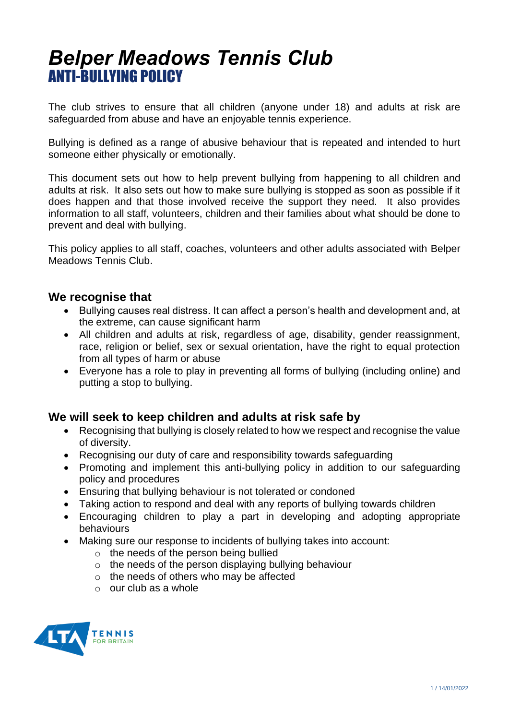# *Belper Meadows Tennis Club* ANTI-BULLYING POLICY

The club strives to ensure that all children (anyone under 18) and adults at risk are safeguarded from abuse and have an enjoyable tennis experience.

Bullying is defined as a range of abusive behaviour that is repeated and intended to hurt someone either physically or emotionally.

This document sets out how to help prevent bullying from happening to all children and adults at risk. It also sets out how to make sure bullying is stopped as soon as possible if it does happen and that those involved receive the support they need. It also provides information to all staff, volunteers, children and their families about what should be done to prevent and deal with bullying.

This policy applies to all staff, coaches, volunteers and other adults associated with Belper Meadows Tennis Club.

### **We recognise that**

- Bullying causes real distress. It can affect a person's health and development and, at the extreme, can cause significant harm
- All children and adults at risk, regardless of age, disability, gender reassignment, race, religion or belief, sex or sexual orientation, have the right to equal protection from all types of harm or abuse
- Everyone has a role to play in preventing all forms of bullying (including online) and putting a stop to bullying.

### **We will seek to keep children and adults at risk safe by**

- Recognising that bullying is closely related to how we respect and recognise the value of diversity.
- Recognising our duty of care and responsibility towards safeguarding
- Promoting and implement this anti-bullying policy in addition to our safeguarding policy and procedures
- Ensuring that bullying behaviour is not tolerated or condoned
- Taking action to respond and deal with any reports of bullying towards children
- Encouraging children to play a part in developing and adopting appropriate behaviours
- Making sure our response to incidents of bullying takes into account:
	- o the needs of the person being bullied
	- o the needs of the person displaying bullying behaviour
	- o the needs of others who may be affected
	- $\circ$  our club as a whole

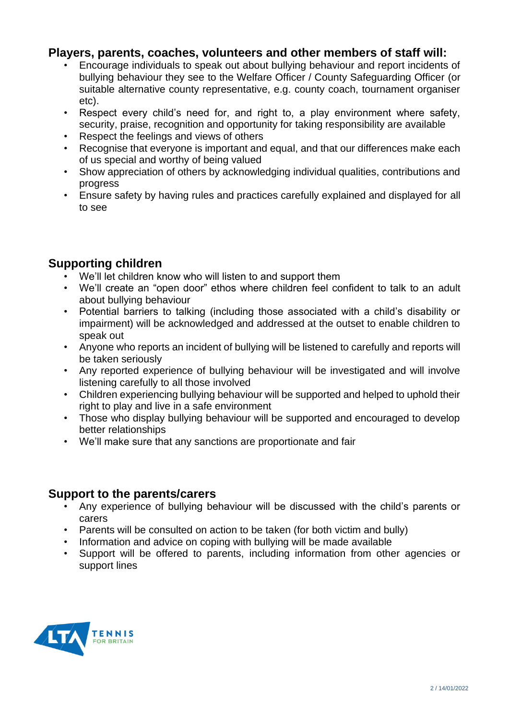## **Players, parents, coaches, volunteers and other members of staff will:**

- Encourage individuals to speak out about bullying behaviour and report incidents of bullying behaviour they see to the Welfare Officer / County Safeguarding Officer (or suitable alternative county representative, e.g. county coach, tournament organiser etc).
- Respect every child's need for, and right to, a play environment where safety, security, praise, recognition and opportunity for taking responsibility are available
- Respect the feelings and views of others
- Recognise that everyone is important and equal, and that our differences make each of us special and worthy of being valued
- Show appreciation of others by acknowledging individual qualities, contributions and progress
- Ensure safety by having rules and practices carefully explained and displayed for all to see

# **Supporting children**

- We'll let children know who will listen to and support them
- We'll create an "open door" ethos where children feel confident to talk to an adult about bullying behaviour
- Potential barriers to talking (including those associated with a child's disability or impairment) will be acknowledged and addressed at the outset to enable children to speak out
- Anyone who reports an incident of bullying will be listened to carefully and reports will be taken seriously
- Any reported experience of bullying behaviour will be investigated and will involve listening carefully to all those involved
- Children experiencing bullying behaviour will be supported and helped to uphold their right to play and live in a safe environment
- Those who display bullying behaviour will be supported and encouraged to develop better relationships
- We'll make sure that any sanctions are proportionate and fair

## **Support to the parents/carers**

- Any experience of bullying behaviour will be discussed with the child's parents or carers
- Parents will be consulted on action to be taken (for both victim and bully)
- Information and advice on coping with bullying will be made available
- Support will be offered to parents, including information from other agencies or support lines